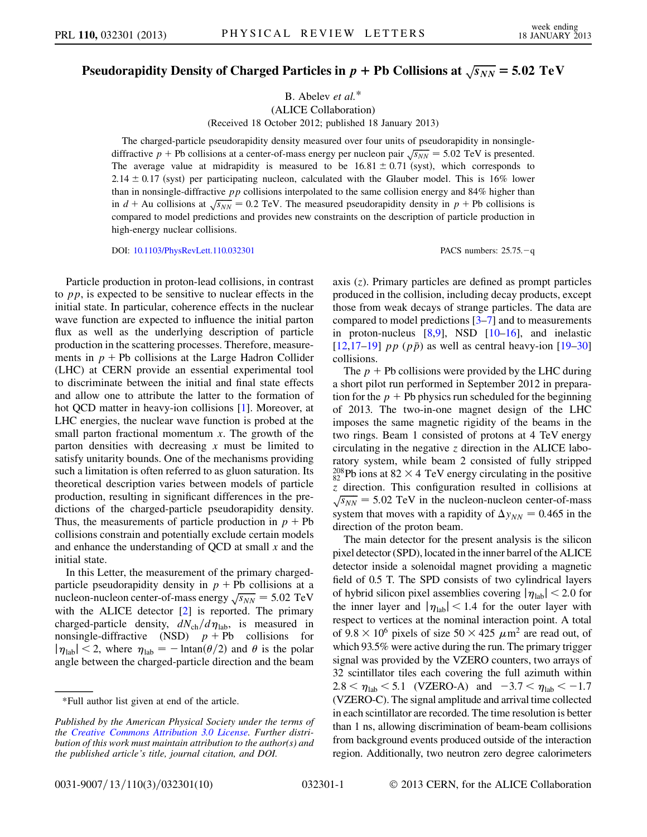## Pseudorapidity Density of Charged Particles in  $p + \rm Pb$  Collisions at  $\sqrt{s_{NN}} = 5.02 \,\, \rm TeV$

B. Abelev et al.\*

(ALICE Collaboration)

(Received 18 October 2012; published 18 January 2013)

The charged-particle pseudorapidity density measured over four units of pseudorapidity in nonsingle-The charged-particle pseudorapidity density measured over four units of pseudorapidity in homomorphic diffractive  $p + Pb$  collisions at a center-of-mass energy per nucleon pair  $\sqrt{s_{NN}} = 5.02$  TeV is presented. The average value at midrapidity is measured to be  $16.81 \pm 0.71$  (syst), which corresponds to  $2.14 \pm 0.17$  (syst) per participating nucleon, calculated with the Glauber model. This is 16% lower than in nonsingle-diffractive  $pp$  collisions interpolated to the same collision energy and 84% higher than than in housingle-diffractive p p consions interporated to the same consion energy and  $\frac{\partial^2 \mathcal{L}}{\partial x \partial y}$  in  $d + \Delta u$  collisions at  $\sqrt{s_{NN}} = 0.2$  TeV. The measured pseudorapidity density in  $p + \text{Pb}$  collisions is compared to model predictions and provides new constraints on the description of particle production in high-energy nuclear collisions.

DOI: [10.1103/PhysRevLett.110.032301](http://dx.doi.org/10.1103/PhysRevLett.110.032301)

PACS numbers:  $25.75 - q$ 

Particle production in proton-lead collisions, in contrast to  $pp$ , is expected to be sensitive to nuclear effects in the initial state. In particular, coherence effects in the nuclear wave function are expected to influence the initial parton flux as well as the underlying description of particle production in the scattering processes. Therefore, measurements in  $p + Pb$  collisions at the Large Hadron Collider (LHC) at CERN provide an essential experimental tool to discriminate between the initial and final state effects and allow one to attribute the latter to the formation of hot QCD matter in heavy-ion collisions [\[1](#page-4-0)]. Moreover, at LHC energies, the nuclear wave function is probed at the small parton fractional momentum  $x$ . The growth of the parton densities with decreasing  $x$  must be limited to satisfy unitarity bounds. One of the mechanisms providing such a limitation is often referred to as gluon saturation. Its theoretical description varies between models of particle production, resulting in significant differences in the predictions of the charged-particle pseudorapidity density. Thus, the measurements of particle production in  $p + Pb$ collisions constrain and potentially exclude certain models and enhance the understanding of QCD at small  $x$  and the initial state.

In this Letter, the measurement of the primary chargedparticle pseudorapidity density in  $p + Pb$  collisions at a particle pseudorapidity density in  $p + Pb$  collisions at a nucleon-nucleon center-of-mass energy  $\sqrt{s_{NN}} = 5.02 \text{ TeV}$ with the ALICE detector [[2](#page-4-1)] is reported. The primary charged-particle density,  $dN_{ch}/d\eta_{lab}$ , is measured in nonsingle-diffractive (NSD)  $p + Pb$  collisions for  $|\eta_{\text{lab}}|$  < 2, where  $\eta_{\text{lab}} = -\ln \tan(\theta/2)$  and  $\theta$  is the polar angle between the charged-particle direction and the beam axis  $(z)$ . Primary particles are defined as prompt particles produced in the collision, including decay products, except those from weak decays of strange particles. The data are compared to model predictions [\[3–](#page-4-2)[7](#page-4-3)] and to measurements in proton-nucleus  $[8,9]$  $[8,9]$  $[8,9]$ , NSD  $[10-16]$  $[10-16]$  $[10-16]$ , and inelastic  $[12,17-19]$  $[12,17-19]$  $[12,17-19]$  pp  $(p\bar{p})$  as well as central heavy-ion  $[19-30]$  $[19-30]$ collisions.

The  $p + Pb$  collisions were provided by the LHC during a short pilot run performed in September 2012 in preparation for the  $p + Pb$  physics run scheduled for the beginning of 2013. The two-in-one magnet design of the LHC imposes the same magnetic rigidity of the beams in the two rings. Beam 1 consisted of protons at 4 TeV energy circulating in the negative  $\zeta$  direction in the ALICE laboratory system, while beam 2 consisted of fully stripped  $\frac{208}{82}$ Pb ions at 82  $\times$  4 TeV energy circulating in the positive  $z$  direction. This configuration resulted in collisions at  $\sqrt{s_{NN}}$  = 5.02 TeV in the nucleon-nucleon center-of-mass system that moves with a rapidity of  $\Delta y_{NN} = 0.465$  in the direction of the proton beam.

The main detector for the present analysis is the silicon pixel detector (SPD), located in the inner barrel of the ALICE detector inside a solenoidal magnet providing a magnetic field of 0.5 T. The SPD consists of two cylindrical layers of hybrid silicon pixel assemblies covering  $|\eta_{lab}| < 2.0$  for the inner layer and  $|\eta_{lab}| < 1.4$  for the outer layer with respect to vertices at the nominal interaction point. A total of 9.8  $\times$  10<sup>6</sup> pixels of size 50  $\times$  425  $\mu$ m<sup>2</sup> are read out, of which 93.5% were active during the run. The primary trigger signal was provided by the VZERO counters, two arrays of 32 scintillator tiles each covering the full azimuth within  $2.8 < \eta_{\text{lab}} < 5.1$  (VZERO-A) and  $-3.7 < \eta_{\text{lab}} < -1.7$ (VZERO-C). The signal amplitude and arrival time collected in each scintillator are recorded. The time resolution is better than 1 ns, allowing discrimination of beam-beam collisions from background events produced outside of the interaction region. Additionally, two neutron zero degree calorimeters

<sup>\*</sup>Full author list given at end of the article.

Published by the American Physical Society under the terms of the [Creative Commons Attribution 3.0 License.](http://creativecommons.org/licenses/by/3.0/) Further distribution of this work must maintain attribution to the author(s) and the published article's title, journal citation, and DOI.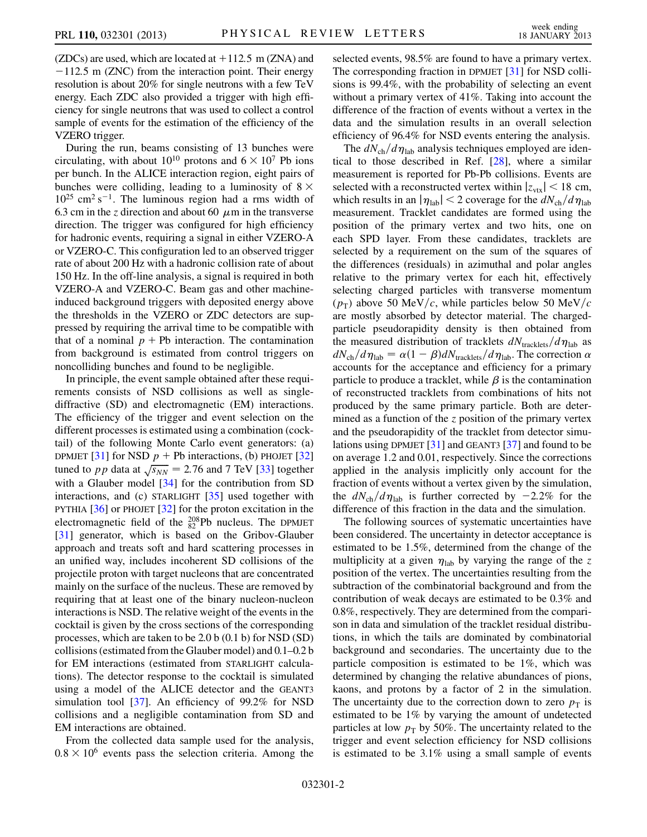(ZDCs) are used, which are located at  $+112.5$  m (ZNA) and -112:5 m (ZNC) from the interaction point. Their energy resolution is about 20% for single neutrons with a few TeV energy. Each ZDC also provided a trigger with high efficiency for single neutrons that was used to collect a control sample of events for the estimation of the efficiency of the VZERO trigger.

During the run, beams consisting of 13 bunches were circulating, with about  $10^{10}$  protons and  $6 \times 10^{7}$  Pb ions per bunch. In the ALICE interaction region, eight pairs of bunches were colliding, leading to a luminosity of  $8 \times$  $10^{25}$  cm<sup>2</sup> s<sup>-1</sup>. The luminous region had a rms width of 6.3 cm in the z direction and about 60  $\mu$ m in the transverse direction. The trigger was configured for high efficiency for hadronic events, requiring a signal in either VZERO-A or VZERO-C. This configuration led to an observed trigger rate of about 200 Hz with a hadronic collision rate of about 150 Hz. In the off-line analysis, a signal is required in both VZERO-A and VZERO-C. Beam gas and other machineinduced background triggers with deposited energy above the thresholds in the VZERO or ZDC detectors are suppressed by requiring the arrival time to be compatible with that of a nominal  $p + Pb$  interaction. The contamination from background is estimated from control triggers on noncolliding bunches and found to be negligible.

In principle, the event sample obtained after these requirements consists of NSD collisions as well as singlediffractive (SD) and electromagnetic (EM) interactions. The efficiency of the trigger and event selection on the different processes is estimated using a combination (cocktail) of the following Monte Carlo event generators: (a) DPMJET [[31](#page-4-12)] for NSD  $p + Pb$  interactions, (b) PHOJET [\[32\]](#page-4-13) DPMJET [31] TOT NSD  $p + P$ 0 Interactions, (b) PHOJET [32]<br>tuned to  $pp$  data at  $\sqrt{s_{NN}} = 2.76$  and 7 TeV [[33](#page-4-14)] together with a Glauber model [\[34\]](#page-4-15) for the contribution from SD interactions, and (c) STARLIGHT [\[35\]](#page-4-16) used together with PYTHIA [[36](#page-4-17)] or PHOJET [[32](#page-4-13)] for the proton excitation in the electromagnetic field of the  $\frac{208}{82}$ Pb nucleus. The DPMJET [\[31\]](#page-4-12) generator, which is based on the Gribov-Glauber approach and treats soft and hard scattering processes in an unified way, includes incoherent SD collisions of the projectile proton with target nucleons that are concentrated mainly on the surface of the nucleus. These are removed by requiring that at least one of the binary nucleon-nucleon interactions is NSD. The relative weight of the events in the cocktail is given by the cross sections of the corresponding processes, which are taken to be 2.0 b (0.1 b) for NSD (SD) collisions (estimated from the Glauber model) and 0.1–0.2 b for EM interactions (estimated from STARLIGHT calculations). The detector response to the cocktail is simulated using a model of the ALICE detector and the GEANT3 simulation tool [[37](#page-4-18)]. An efficiency of 99.2% for NSD collisions and a negligible contamination from SD and EM interactions are obtained.

From the collected data sample used for the analysis,  $0.8 \times 10^6$  events pass the selection criteria. Among the selected events, 98.5% are found to have a primary vertex. The corresponding fraction in DPMJET [[31](#page-4-12)] for NSD collisions is 99.4%, with the probability of selecting an event without a primary vertex of 41%. Taking into account the difference of the fraction of events without a vertex in the data and the simulation results in an overall selection efficiency of 96.4% for NSD events entering the analysis.

The  $dN_{ch}/d\eta_{lab}$  analysis techniques employed are identical to those described in Ref. [\[28](#page-4-19)], where a similar measurement is reported for Pb-Pb collisions. Events are selected with a reconstructed vertex within  $|z_{\text{vtx}}|$  < 18 cm, which results in an  $|\eta_{\rm lab}| < 2$  coverage for the  $dN_{\rm ch}/d\eta_{\rm lab}$ measurement. Tracklet candidates are formed using the position of the primary vertex and two hits, one on each SPD layer. From these candidates, tracklets are selected by a requirement on the sum of the squares of the differences (residuals) in azimuthal and polar angles relative to the primary vertex for each hit, effectively selecting charged particles with transverse momentum  $(p_T)$  above 50 MeV/c, while particles below 50 MeV/c are mostly absorbed by detector material. The chargedparticle pseudorapidity density is then obtained from the measured distribution of tracklets  $dN_{\text{tracklets}}/d\eta_{\text{lab}}$  as  $dN_{\text{ch}}/d\eta_{\text{lab}} = \alpha(1-\beta)dN_{\text{tracklets}}/d\eta_{\text{lab}}.$  The correction  $\alpha$ accounts for the acceptance and efficiency for a primary particle to produce a tracklet, while  $\beta$  is the contamination of reconstructed tracklets from combinations of hits not produced by the same primary particle. Both are determined as a function of the z position of the primary vertex and the pseudorapidity of the tracklet from detector simulations using DPMJET [\[31\]](#page-4-12) and GEANT3 [\[37\]](#page-4-18) and found to be on average 1.2 and 0.01, respectively. Since the corrections applied in the analysis implicitly only account for the fraction of events without a vertex given by the simulation, the  $dN_{ch}/d\eta_{lab}$  is further corrected by -2.2% for the difference of this fraction in the data and the simulation.

The following sources of systematic uncertainties have been considered. The uncertainty in detector acceptance is estimated to be 1.5%, determined from the change of the multiplicity at a given  $\eta_{lab}$  by varying the range of the z position of the vertex. The uncertainties resulting from the subtraction of the combinatorial background and from the contribution of weak decays are estimated to be 0.3% and 0.8%, respectively. They are determined from the comparison in data and simulation of the tracklet residual distributions, in which the tails are dominated by combinatorial background and secondaries. The uncertainty due to the particle composition is estimated to be 1%, which was determined by changing the relative abundances of pions, kaons, and protons by a factor of 2 in the simulation. The uncertainty due to the correction down to zero  $p<sub>T</sub>$  is estimated to be 1% by varying the amount of undetected particles at low  $p_T$  by 50%. The uncertainty related to the trigger and event selection efficiency for NSD collisions is estimated to be 3.1% using a small sample of events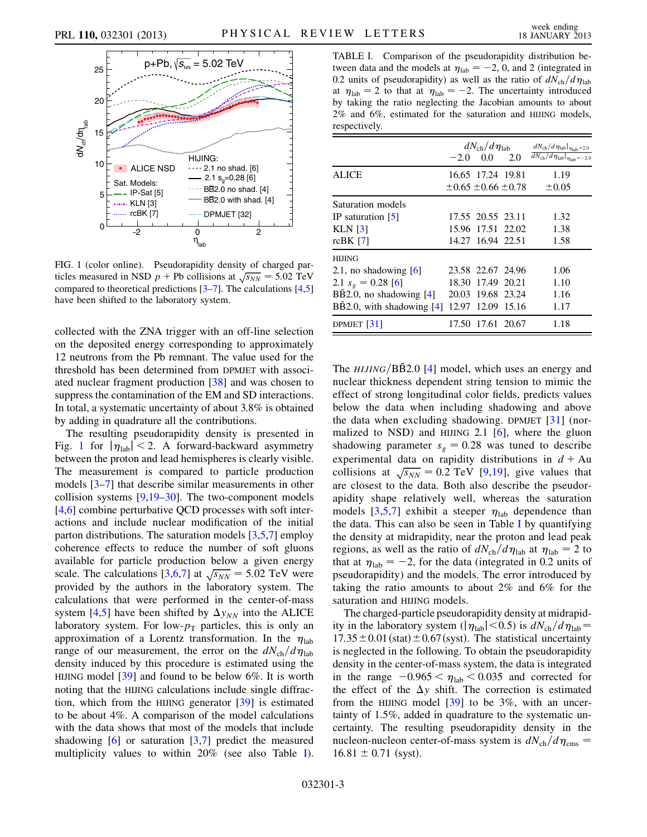<span id="page-2-0"></span>

FIG. 1 (color online). Pseudorapidity density of charged par-FIG. 1 (color online). Pseudorapidity density of charged particles measured in NSD  $p$  + Pb collisions at  $\sqrt{s_{NN}}$  = 5.02 TeV compared to theoretical predictions  $[3-7]$  $[3-7]$  $[3-7]$ . The calculations  $[4,5]$  $[4,5]$ have been shifted to the laboratory system.

collected with the ZNA trigger with an off-line selection on the deposited energy corresponding to approximately 12 neutrons from the Pb remnant. The value used for the threshold has been determined from DPMJET with associated nuclear fragment production [[38](#page-4-20)] and was chosen to suppress the contamination of the EM and SD interactions. In total, a systematic uncertainty of about 3.8% is obtained by adding in quadrature all the contributions.

The resulting pseudorapidity density is presented in Fig. [1](#page-2-0) for  $|\eta_{lab}| < 2$ . A forward-backward asymmetry between the proton and lead hemispheres is clearly visible. The measurement is compared to particle production models [[3](#page-4-2)[–7\]](#page-4-3) that describe similar measurements in other collision systems  $[9,19-30]$  $[9,19-30]$  $[9,19-30]$  $[9,19-30]$ . The two-component models [\[4,](#page-4-21)[6](#page-4-22)] combine perturbative QCD processes with soft interactions and include nuclear modification of the initial parton distributions. The saturation models [[3](#page-4-2)[,5,](#page-4-23)[7](#page-4-3)] employ coherence effects to reduce the number of soft gluons available for particle production below a given energy available for particle production below a given energy scale. The calculations  $[3,6,7]$  $[3,6,7]$  $[3,6,7]$  $[3,6,7]$  $[3,6,7]$  at  $\sqrt{s_{NN}} = 5.02$  TeV were provided by the authors in the laboratory system. The calculations that were performed in the center-of-mass system [\[4](#page-4-21)[,5](#page-4-23)] have been shifted by  $\Delta y_{NN}$  into the ALICE laboratory system. For low- $p_T$  particles, this is only an approximation of a Lorentz transformation. In the  $\eta_{lab}$ range of our measurement, the error on the  $dN_{ch}/d\eta_{lab}$ density induced by this procedure is estimated using the HIJING model [\[39\]](#page-4-24) and found to be below 6%. It is worth noting that the HIJING calculations include single diffraction, which from the HIJING generator  $\left[39\right]$  $\left[39\right]$  $\left[39\right]$  is estimated to be about 4%. A comparison of the model calculations with the data shows that most of the models that include shadowing  $[6]$  $[6]$  or saturation  $[3,7]$  $[3,7]$  $[3,7]$  $[3,7]$  predict the measured multiplicity values to within 20% (see also Table [I\)](#page-2-1). <span id="page-2-1"></span>TABLE I. Comparison of the pseudorapidity distribution between data and the models at  $\eta_{\text{lab}} = -2$ , 0, and 2 (integrated in 0.2 units of pseudorapidity) as well as the ratio of  $dN_{ch}/d\eta_{lab}$ at  $\eta_{\rm lab} = 2$  to that at  $\eta_{\rm lab} = -2$ . The uncertainty introduced by taking the ratio neglecting the Jacobian amounts to about 2% and 6%, estimated for the saturation and HIJING models, respectively.

|                                                                                                                                                     | $-2.0$ | $dN_{\rm ch}/d\eta_{\rm lab}$<br>0.0 | 2.0                                                         | $dN_\text{ch}/d\eta_\text{lab}\vert_{\eta_\text{lab}=2.0}$<br>$\frac{dN_{\text{ch}}}{d\eta_{\text{lab}}}$ $\eta_{\text{lab}}$ $\eta_{\text{lab}}$ = -2.0 |
|-----------------------------------------------------------------------------------------------------------------------------------------------------|--------|--------------------------------------|-------------------------------------------------------------|----------------------------------------------------------------------------------------------------------------------------------------------------------|
| <b>ALICE</b>                                                                                                                                        |        |                                      | 16.65 17.24 19.81<br>$\pm 0.65 \pm 0.66 \pm 0.78$           | 1.19<br>$\pm 0.05$                                                                                                                                       |
| Saturation models<br>IP saturation $\lceil 5 \rceil$<br>KLN $[3]$<br>$rcBK$ [7]                                                                     |        |                                      | 17.55 20.55 23.11<br>15.96 17.51 22.02<br>14.27 16.94 22.51 | 1.32<br>1.38<br>1.58                                                                                                                                     |
| <b>HIJING</b><br>2.1, no shadowing $[6]$<br>2.1 $s_g = 0.28$ [6]<br>$B\bar{B}2.0$ , no shadowing [4]<br>BB2.0, with shadowing [4] 12.97 12.09 15.16 |        |                                      | 23.58 22.67 24.96<br>18.30 17.49 20.21<br>20.03 19.68 23.24 | 1.06<br>1.10<br>1.16<br>1.17                                                                                                                             |
| DPMJET $[31]$                                                                                                                                       |        |                                      | 17.50 17.61 20.67                                           | 1.18                                                                                                                                                     |

The  $HJING/B\bar{B}2.0$  [[4\]](#page-4-21) model, which uses an energy and nuclear thickness dependent string tension to mimic the effect of strong longitudinal color fields, predicts values below the data when including shadowing and above the data when excluding shadowing. DPMJET  $[31]$  $[31]$  (normalized to NSD) and HIJING 2.1  $[6]$ , where the gluon shadowing parameter  $s_g = 0.28$  was tuned to describe experimental data on rapidity distributions in  $d + Au$ experimental data on rapidity distributions in  $a + Au$ <br>collisions at  $\sqrt{s_{NN}} = 0.2 \text{ TeV}$  [\[9,](#page-4-5)[19](#page-4-10)], give values that are closest to the data. Both also describe the pseudorapidity shape relatively well, whereas the saturation models [\[3](#page-4-2)[,5](#page-4-23)[,7\]](#page-4-3) exhibit a steeper  $\eta_{lab}$  dependence than the data. This can also be seen in Table [I](#page-2-1) by quantifying the density at midrapidity, near the proton and lead peak regions, as well as the ratio of  $dN_{ch}/d\eta_{lab}$  at  $\eta_{lab} = 2$  to that at  $\eta_{\rm lab} = -2$ , for the data (integrated in 0.2 units of pseudorapidity) and the models. The error introduced by taking the ratio amounts to about 2% and 6% for the saturation and HIJING models.

The charged-particle pseudorapidity density at midrapidity in the laboratory system ( $|\eta_{\rm lab}|$  < 0.5) is  $dN_{\rm ch}/d\eta_{\rm lab}$  =  $17.35 \pm 0.01$  (stat)  $\pm 0.67$  (syst). The statistical uncertainty is neglected in the following. To obtain the pseudorapidity density in the center-of-mass system, the data is integrated in the range  $-0.965 < \eta_{\rm lab} < 0.035$  and corrected for the effect of the  $\Delta y$  shift. The correction is estimated from the HIJING model  $[39]$  to be 3%, with an uncertainty of 1.5%, added in quadrature to the systematic uncertainty. The resulting pseudorapidity density in the nucleon-nucleon center-of-mass system is  $dN_{ch}/d\eta_{cms}$  =  $16.81 \pm 0.71$  (syst).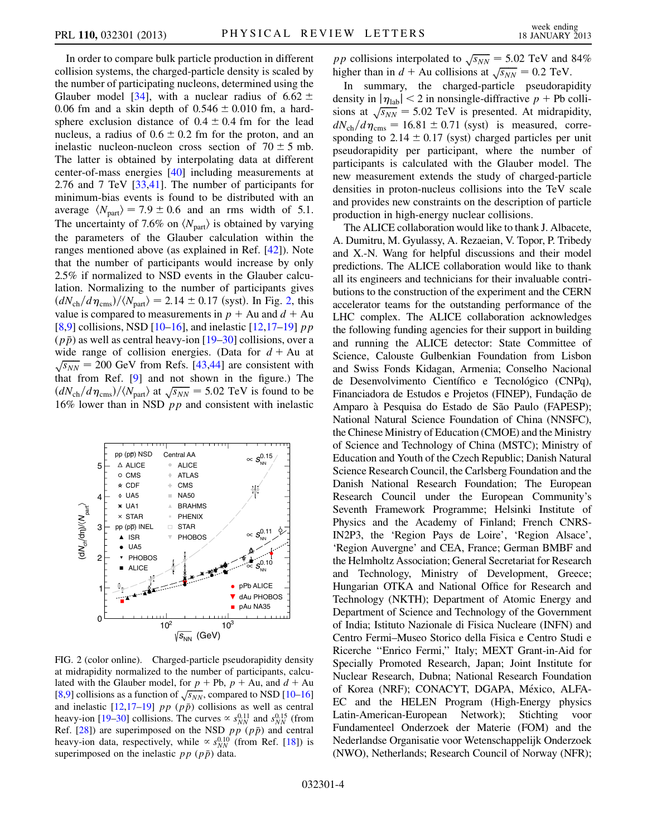In order to compare bulk particle production in different collision systems, the charged-particle density is scaled by the number of participating nucleons, determined using the Glauber model [\[34\]](#page-4-15), with a nuclear radius of 6.62  $\pm$ 0.06 fm and a skin depth of  $0.546 \pm 0.010$  fm, a hardsphere exclusion distance of  $0.4 \pm 0.4$  fm for the lead nucleus, a radius of  $0.6 \pm 0.2$  fm for the proton, and an inelastic nucleon-nucleon cross section of  $70 \pm 5$  mb. The latter is obtained by interpolating data at different center-of-mass energies [[40](#page-4-25)] including measurements at 2.76 and 7 TeV [\[33](#page-4-14)[,41\]](#page-4-26). The number of participants for minimum-bias events is found to be distributed with an average  $\langle N_{\text{part}} \rangle = 7.9 \pm 0.6$  and an rms width of 5.1. The uncertainty of 7.6% on  $\langle N_{\text{part}} \rangle$  is obtained by varying the parameters of the Glauber calculation within the ranges mentioned above (as explained in Ref. [\[42\]](#page-4-27)). Note that the number of participants would increase by only 2.5% if normalized to NSD events in the Glauber calculation. Normalizing to the number of participants gives  $\left(\frac{dN_{\text{ch}}}{d\eta_{\text{cms}}}\right)$ / $\left\langle N_{\text{part}}\right\rangle$  = 2.14  $\pm$  0.17 (syst). In Fig. [2,](#page-3-0) this value is compared to measurements in  $p + Au$  and  $d + Au$ [\[8,](#page-4-4)[9](#page-4-5)] collisions, NSD [\[10–](#page-4-6)[16](#page-4-7)], and inelastic  $[12,17-19]$  $[12,17-19]$  $[12,17-19]$  $[12,17-19]$  $[12,17-19]$  $[12,17-19]$  pp  $(p\bar{p})$  as well as central heavy-ion [[19](#page-4-10)–[30\]](#page-4-11) collisions, over a wide range of collision energies. (Data for  $d + Au$  at  $\sqrt{s_{NN}}$  = 200 GeV from Refs. [[43](#page-4-28),[44](#page-4-29)] are consistent with that from Ref. [[9](#page-4-5)] and not shown in the figure.) The that from Ker. [9] and not shown in the figure.) The  $(dN_{\text{ch}}/d\eta_{\text{cms}})/\langle N_{\text{part}}\rangle$  at  $\sqrt{s_{NN}} = 5.02$  TeV is found to be 16% lower than in NSD  $pp$  and consistent with inelastic

<span id="page-3-0"></span>

FIG. 2 (color online). Charged-particle pseudorapidity density at midrapidity normalized to the number of participants, calculated with the Glauber model, for  $p + Pb$ ,  $p + Au$ , and  $d + Au$ lated with the Glauber model, for  $p + Pb$ ,  $p + Au$ , and  $d + Au$ <br>[\[8,](#page-4-4)[9\]](#page-4-5) collisions as a function of  $\sqrt{s_{NN}}$ , compared to NSD [\[10](#page-4-6)[–16\]](#page-4-7) and inelastic  $[12,17-19]$  $[12,17-19]$  $[12,17-19]$  $[12,17-19]$  $[12,17-19]$  $[12,17-19]$  $[12,17-19]$  pp  $(p\bar{p})$  collisions as well as central heavy-ion [[19](#page-4-10)–[30](#page-4-11)] collisions. The curves  $\propto s_{NN}^{0.11}$  and  $s_{NN}^{0.15}$  (from Ref.  $[28]$  $[28]$  $[28]$ ) are superimposed on the NSD  $pp$  ( $p\bar{p}$ ) and central heavy-ion data, respectively, while  $\propto s_{NN}^{0.10}$  (from Ref. [[18](#page-4-30)]) is superimposed on the inelastic  $pp (p\bar{p})$  data.

pp collisions interpolated to  $\sqrt{s_{NN}}$  = 5.02 TeV and 84% p p consions interpolated to  $\sqrt{s_{NN}} = 3.02$  TeV and higher than in d + Au collisions at  $\sqrt{s_{NN}} = 0.2$  TeV.

In summary, the charged-particle pseudorapidity density in  $|\eta_{\text{lab}}|$  < 2 in nonsingle-diffractive  $p$  + Pb collidensity in  $|\eta_{lab}| < 2$  in nonsingle-diffractive  $p + Pb$  collisions at  $\sqrt{s_{NN}} = 5.02$  TeV is presented. At midrapidity,  $dN_{\text{ch}}/d\eta_{\text{cms}} = 16.81 \pm 0.71$  (syst) is measured, corresponding to 2.14  $\pm$  0.17 (syst) charged particles per unit pseudorapidity per participant, where the number of participants is calculated with the Glauber model. The new measurement extends the study of charged-particle densities in proton-nucleus collisions into the TeV scale and provides new constraints on the description of particle production in high-energy nuclear collisions.

The ALICE collaboration would like to thank J. Albacete, A. Dumitru, M. Gyulassy, A. Rezaeian, V. Topor, P. Tribedy and X.-N. Wang for helpful discussions and their model predictions. The ALICE collaboration would like to thank all its engineers and technicians for their invaluable contributions to the construction of the experiment and the CERN accelerator teams for the outstanding performance of the LHC complex. The ALICE collaboration acknowledges the following funding agencies for their support in building and running the ALICE detector: State Committee of Science, Calouste Gulbenkian Foundation from Lisbon and Swiss Fonds Kidagan, Armenia; Conselho Nacional de Desenvolvimento Científico e Tecnológico (CNPq), Financiadora de Estudos e Projetos (FINEP), Fundação de Amparo à Pesquisa do Estado de São Paulo (FAPESP); National Natural Science Foundation of China (NNSFC), the Chinese Ministry of Education (CMOE) and the Ministry of Science and Technology of China (MSTC); Ministry of Education and Youth of the Czech Republic; Danish Natural Science Research Council, the Carlsberg Foundation and the Danish National Research Foundation; The European Research Council under the European Community's Seventh Framework Programme; Helsinki Institute of Physics and the Academy of Finland; French CNRS-IN2P3, the 'Region Pays de Loire', 'Region Alsace', 'Region Auvergne' and CEA, France; German BMBF and the Helmholtz Association; General Secretariat for Research and Technology, Ministry of Development, Greece; Hungarian OTKA and National Office for Research and Technology (NKTH); Department of Atomic Energy and Department of Science and Technology of the Government of India; Istituto Nazionale di Fisica Nucleare (INFN) and Centro Fermi–Museo Storico della Fisica e Centro Studi e Ricerche ''Enrico Fermi,'' Italy; MEXT Grant-in-Aid for Specially Promoted Research, Japan; Joint Institute for Nuclear Research, Dubna; National Research Foundation of Korea (NRF); CONACYT, DGAPA, México, ALFA-EC and the HELEN Program (High-Energy physics Latin-American-European Network); Stichting voor Fundamenteel Onderzoek der Materie (FOM) and the Nederlandse Organisatie voor Wetenschappelijk Onderzoek (NWO), Netherlands; Research Council of Norway (NFR);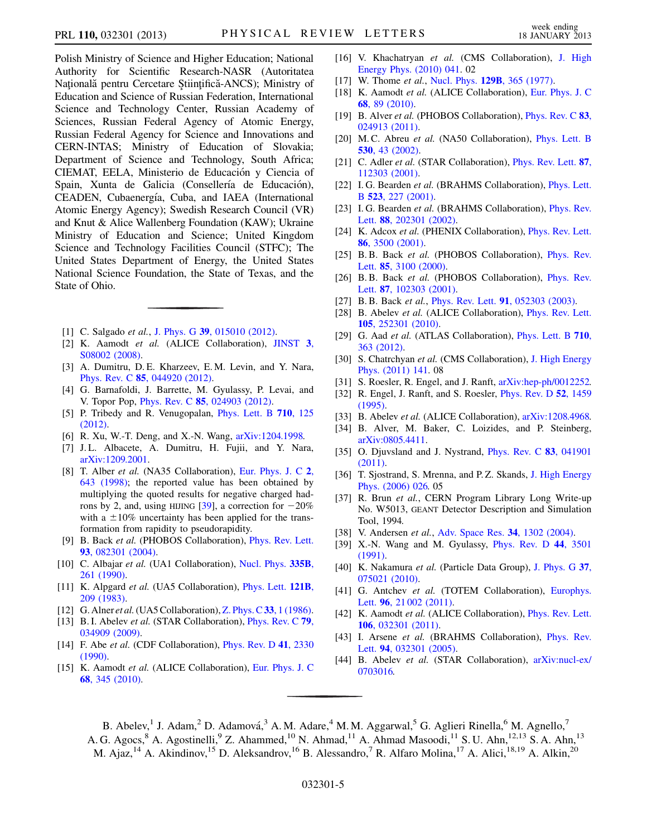Polish Ministry of Science and Higher Education; National Authority for Scientific Research-NASR (Autoritatea Natională pentru Cercetare Stiintifică-ANCS); Ministry of Education and Science of Russian Federation, International Science and Technology Center, Russian Academy of Sciences, Russian Federal Agency of Atomic Energy, Russian Federal Agency for Science and Innovations and CERN-INTAS; Ministry of Education of Slovakia; Department of Science and Technology, South Africa; CIEMAT, EELA, Ministerio de Educación y Ciencia of Spain, Xunta de Galicia (Consellería de Educación), CEADEN, Cubaenergía, Cuba, and IAEA (International Atomic Energy Agency); Swedish Research Council (VR) and Knut & Alice Wallenberg Foundation (KAW); Ukraine Ministry of Education and Science; United Kingdom Science and Technology Facilities Council (STFC); The United States Department of Energy, the United States National Science Foundation, the State of Texas, and the State of Ohio.

- <span id="page-4-0"></span>[1] C. Salgado *et al.*, J. Phys. G 39[, 015010 \(2012\)](http://dx.doi.org/10.1088/0954-3899/39/1/015010).
- <span id="page-4-1"></span>[2] K. Aamodt et al. (ALICE Collaboration), [JINST](http://dx.doi.org/10.1088/1748-0221/3/08/S08002) 3, [S08002 \(2008\)](http://dx.doi.org/10.1088/1748-0221/3/08/S08002).
- <span id="page-4-2"></span>[3] A. Dumitru, D. E. Kharzeev, E. M. Levin, and Y. Nara, Phys. Rev. C 85[, 044920 \(2012\)](http://dx.doi.org/10.1103/PhysRevC.85.044920).
- <span id="page-4-21"></span>[4] G. Barnafoldi, J. Barrette, M. Gyulassy, P. Levai, and V. Topor Pop, Phys. Rev. C 85[, 024903 \(2012\).](http://dx.doi.org/10.1103/PhysRevC.85.024903)
- <span id="page-4-23"></span>[5] P. Tribedy and R. Venugopalan, *[Phys. Lett. B](http://dx.doi.org/10.1016/j.physletb.2012.02.047)* 710, 125 [\(2012\)](http://dx.doi.org/10.1016/j.physletb.2012.02.047).
- <span id="page-4-22"></span>[6] R. Xu, W.-T. Deng, and X.-N. Wang, [arXiv:1204.1998.](http://arXiv.org/abs/1204.1998)
- <span id="page-4-3"></span>[7] J. L. Albacete, A. Dumitru, H. Fujii, and Y. Nara, [arXiv:1209.2001.](http://arXiv.org/abs/1209.2001)
- <span id="page-4-4"></span>[8] T. Alber et al. (NA35 Collaboration), [Eur. Phys. J. C](http://dx.doi.org/10.1007/s100520050167) 2, [643 \(1998\);](http://dx.doi.org/10.1007/s100520050167) the reported value has been obtained by multiplying the quoted results for negative charged had-rons by 2, and, using HIJING [[39](#page-4-24)], a correction for  $-20\%$ with a  $\pm 10\%$  uncertainty has been applied for the transformation from rapidity to pseudorapidity.
- <span id="page-4-5"></span>[9] B. Back et al. (PHOBOS Collaboration), *[Phys. Rev. Lett.](http://dx.doi.org/10.1103/PhysRevLett.93.082301)* 93[, 082301 \(2004\)](http://dx.doi.org/10.1103/PhysRevLett.93.082301).
- <span id="page-4-6"></span>[10] C. Albajar et al. (UA1 Collaboration), [Nucl. Phys.](http://dx.doi.org/10.1016/0550-3213(90)90493-W) 335B, [261 \(1990\)](http://dx.doi.org/10.1016/0550-3213(90)90493-W).
- [11] K. Alpgard et al. (UA5 Collaboration), [Phys. Lett.](http://dx.doi.org/10.1016/0370-2693(83)90916-4) 121B, [209 \(1983\)](http://dx.doi.org/10.1016/0370-2693(83)90916-4).
- <span id="page-4-8"></span>[12] G. Alner et al. (UA5 Collaboration), [Z. Phys. C](http://dx.doi.org/10.1007/BF01410446) 33, 1 (1986).
- [13] B. I. Abelev et al. (STAR Collaboration), *[Phys. Rev. C](http://dx.doi.org/10.1103/PhysRevC.79.034909)* 79, [034909 \(2009\)](http://dx.doi.org/10.1103/PhysRevC.79.034909).
- [14] F. Abe et al. (CDF Collaboration), [Phys. Rev. D](http://dx.doi.org/10.1103/PhysRevD.41.2330) 41, 2330 [\(1990\)](http://dx.doi.org/10.1103/PhysRevD.41.2330).
- [15] K. Aamodt et al. (ALICE Collaboration), [Eur. Phys. J. C](http://dx.doi.org/10.1140/epjc/s10052-010-1350-2) 68[, 345 \(2010\)](http://dx.doi.org/10.1140/epjc/s10052-010-1350-2).
- <span id="page-4-7"></span>[16] V. Khachatryan et al. (CMS Collaboration), [J. High](http://dx.doi.org/10.1007/JHEP02(2010)041) [Energy Phys. \(2010\) 041](http://dx.doi.org/10.1007/JHEP02(2010)041). 02
- <span id="page-4-9"></span>[17] W. Thome *et al.*, Nucl. Phys. **129B**[, 365 \(1977\)](http://dx.doi.org/10.1016/0550-3213(77)90122-5).
- <span id="page-4-30"></span>[18] K. Aamodt et al. (ALICE Collaboration), [Eur. Phys. J. C](http://dx.doi.org/10.1140/epjc/s10052-010-1339-x) 68[, 89 \(2010\)](http://dx.doi.org/10.1140/epjc/s10052-010-1339-x).
- <span id="page-4-10"></span>[19] B. Alver et al. (PHOBOS Collaboration), *[Phys. Rev. C](http://dx.doi.org/10.1103/PhysRevC.83.024913)* 83, [024913 \(2011\).](http://dx.doi.org/10.1103/PhysRevC.83.024913)
- [20] M.C. Abreu et al. (NA50 Collaboration), [Phys. Lett. B](http://dx.doi.org/10.1016/S0370-2693(02)01353-9) 530[, 43 \(2002\)](http://dx.doi.org/10.1016/S0370-2693(02)01353-9).
- [21] C. Adler et al. (STAR Collaboration), *[Phys. Rev. Lett.](http://dx.doi.org/10.1103/PhysRevLett.87.112303)* 87, [112303 \(2001\).](http://dx.doi.org/10.1103/PhysRevLett.87.112303)
- [22] I. G. Bearden et al. (BRAHMS Collaboration), *[Phys. Lett.](http://dx.doi.org/10.1016/S0370-2693(01)01333-8)* B 523[, 227 \(2001\)](http://dx.doi.org/10.1016/S0370-2693(01)01333-8).
- [23] I. G. Bearden et al. (BRAHMS Collaboration), *[Phys. Rev.](http://dx.doi.org/10.1103/PhysRevLett.88.202301)* Lett. 88[, 202301 \(2002\)](http://dx.doi.org/10.1103/PhysRevLett.88.202301).
- [24] K. Adcox et al. (PHENIX Collaboration), *[Phys. Rev. Lett.](http://dx.doi.org/10.1103/PhysRevLett.86.3500)* 86[, 3500 \(2001\).](http://dx.doi.org/10.1103/PhysRevLett.86.3500)
- [25] B. B. Back et al. (PHOBOS Collaboration), [Phys. Rev.](http://dx.doi.org/10.1103/PhysRevLett.85.3100) Lett. 85[, 3100 \(2000\).](http://dx.doi.org/10.1103/PhysRevLett.85.3100)
- [26] B.B. Back et al. (PHOBOS Collaboration), [Phys. Rev.](http://dx.doi.org/10.1103/PhysRevLett.87.102303) Lett. 87[, 102303 \(2001\)](http://dx.doi.org/10.1103/PhysRevLett.87.102303).
- [27] B. B. Back et al., Phys. Rev. Lett. 91[, 052303 \(2003\)](http://dx.doi.org/10.1103/PhysRevLett.91.052303).
- <span id="page-4-19"></span>[28] B. Abelev et al. (ALICE Collaboration), [Phys. Rev. Lett.](http://dx.doi.org/10.1103/PhysRevLett.105.022301) 105[, 252301 \(2010\)](http://dx.doi.org/10.1103/PhysRevLett.105.022301).
- [29] G. Aad et al. (ATLAS Collaboration), [Phys. Lett. B](http://dx.doi.org/10.1016/j.physletb.2012.02.045) 710, [363 \(2012\)](http://dx.doi.org/10.1016/j.physletb.2012.02.045).
- <span id="page-4-11"></span>[30] S. Chatrchyan et al. (CMS Collaboration), [J. High Energy](http://dx.doi.org/10.1007/JHEP08(2011)141) [Phys. \(2011\) 141](http://dx.doi.org/10.1007/JHEP08(2011)141). 08
- <span id="page-4-12"></span>[31] S. Roesler, R. Engel, and J. Ranft, [arXiv:hep-ph/0012252.](http://arXiv.org/abs/hep-ph/0012252)
- <span id="page-4-13"></span>[32] R. Engel, J. Ranft, and S. Roesler, *[Phys. Rev. D](http://dx.doi.org/10.1103/PhysRevD.52.1459)* 52, 1459 [\(1995\)](http://dx.doi.org/10.1103/PhysRevD.52.1459).
- <span id="page-4-14"></span>[33] B. Abelev et al. (ALICE Collaboration), [arXiv:1208.4968.](http://arXiv.org/abs/1208.4968)
- <span id="page-4-15"></span>[34] B. Alver, M. Baker, C. Loizides, and P. Steinberg, [arXiv:0805.4411.](http://arXiv.org/abs/0805.4411)
- <span id="page-4-16"></span>[35] O. Djuvsland and J. Nystrand, *[Phys. Rev. C](http://dx.doi.org/10.1103/PhysRevC.83.041901)* 83, 041901 [\(2011\)](http://dx.doi.org/10.1103/PhysRevC.83.041901).
- <span id="page-4-17"></span>[36] T. Sjostrand, S. Mrenna, and P.Z. Skands, [J. High Energy](http://dx.doi.org/10.1088/1126-6708/2006/05/026) [Phys. \(2006\) 026.](http://dx.doi.org/10.1088/1126-6708/2006/05/026) 05
- <span id="page-4-18"></span>[37] R. Brun et al., CERN Program Library Long Write-up No. W5013, GEANT Detector Description and Simulation Tool, 1994.
- <span id="page-4-20"></span>[38] V. Andersen *et al.*, [Adv. Space Res.](http://dx.doi.org/10.1016/j.asr.2003.03.045) **34**, 1302 (2004).
- <span id="page-4-24"></span>[39] X.-N. Wang and M. Gyulassy, [Phys. Rev. D](http://dx.doi.org/10.1103/PhysRevD.44.3501) 44, 3501 [\(1991\)](http://dx.doi.org/10.1103/PhysRevD.44.3501).
- <span id="page-4-25"></span>[40] K. Nakamura et al. (Particle Data Group), [J. Phys. G](http://dx.doi.org/10.1088/0954-3899/37/7A/075021) 37, [075021 \(2010\).](http://dx.doi.org/10.1088/0954-3899/37/7A/075021)
- <span id="page-4-26"></span>[41] G. Antchev et al. (TOTEM Collaboration), [Europhys.](http://dx.doi.org/10.1209/0295-5075/96/21002) Lett. 96[, 21 002 \(2011\)](http://dx.doi.org/10.1209/0295-5075/96/21002).
- <span id="page-4-27"></span>[42] K. Aamodt et al. (ALICE Collaboration), *[Phys. Rev. Lett.](http://dx.doi.org/10.1103/PhysRevLett.106.032301)* 106[, 032301 \(2011\)](http://dx.doi.org/10.1103/PhysRevLett.106.032301).
- <span id="page-4-28"></span>[43] I. Arsene et al. (BRAHMS Collaboration), *[Phys. Rev.](http://dx.doi.org/10.1103/PhysRevLett.94.032301)* Lett. 94[, 032301 \(2005\)](http://dx.doi.org/10.1103/PhysRevLett.94.032301).
- <span id="page-4-29"></span>[44] B. Abelev et al. (STAR Collaboration), [arXiv:nucl-ex/](http://arXiv.org/abs/nucl-ex/0703016) [0703016.](http://arXiv.org/abs/nucl-ex/0703016)

B. Abelev,<sup>1</sup> J. Adam,<sup>2</sup> D. Adamová,<sup>3</sup> A. M. Adare,<sup>4</sup> M. M. Aggarwal,<sup>5</sup> G. Aglieri Rinella,<sup>6</sup> M. Agnello,<sup>7</sup> A. G. Agocs,<sup>8</sup> A. Agostinelli,<sup>9</sup> Z. Ahammed,<sup>10</sup> N. Ahmad,<sup>11</sup> A. Ahmad Masoodi,<sup>11</sup> S. U. Ahn,<sup>12,13</sup> S. A. Ahn,<sup>13</sup> M. Ajaz,<sup>14</sup> A. Akindinov,<sup>15</sup> D. Aleksandrov,<sup>16</sup> B. Alessandro,<sup>7</sup> R. Alfaro Molina,<sup>17</sup> A. Alici,<sup>18,19</sup> A. Alkin,<sup>20</sup>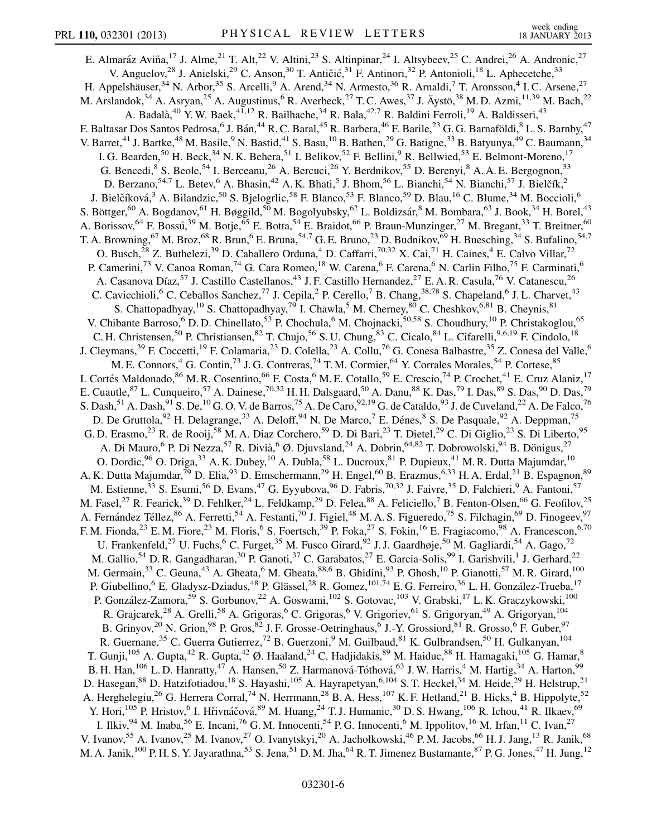E. Almaráz Aviña,<sup>17</sup> J. Alme,<sup>21</sup> T. Alt,<sup>22</sup> V. Altini,<sup>23</sup> S. Altinpinar,<sup>24</sup> I. Altsybeev,<sup>25</sup> C. Andrei,<sup>26</sup> A. Andronic,<sup>27</sup> V. Anguelov,<sup>28</sup> J. Anielski,<sup>29</sup> C. Anson,<sup>30</sup> T. Antičić,<sup>31</sup> F. Antinori,<sup>32</sup> P. Antonioli,<sup>18</sup> L. Aphecetche,<sup>33</sup> H. Appelshäuser,<sup>34</sup> N. Arbor,<sup>35</sup> S. Arcelli,<sup>9</sup> A. Arend,<sup>34</sup> N. Armesto,<sup>36</sup> R. Arnaldi,<sup>7</sup> T. Aronsson,<sup>4</sup> I. C. Arsene,<sup>27</sup> M. Arslandok,<sup>34</sup> A. Asryan,<sup>25</sup> A. Augustinus,<sup>6</sup> R. Averbeck,<sup>27</sup> T. C. Awes,<sup>37</sup> J. Äystö,<sup>38</sup> M. D. Azmi,<sup>11,39</sup> M. Bach,<sup>22</sup> A. Badalà, <sup>40</sup> Y.W. Baek, <sup>41,12</sup> R. Bailhache, <sup>34</sup> R. Bala, <sup>42,7</sup> R. Baldini Ferroli, <sup>19</sup> A. Baldisseri, <sup>43</sup> F. Baltasar Dos Santos Pedrosa,<sup>6</sup> J. Bán,<sup>44</sup> R. C. Baral,<sup>45</sup> R. Barbera,<sup>46</sup> F. Barile,<sup>23</sup> G. G. Barnaföldi,<sup>8</sup> L. S. Barnby,<sup>47</sup> V. Barret,<sup>41</sup> J. Bartke,<sup>48</sup> M. Basile,<sup>9</sup> N. Bastid,<sup>41</sup> S. Basu,<sup>10</sup> B. Bathen,<sup>29</sup> G. Batigne,<sup>33</sup> B. Batyunya,<sup>49</sup> C. Baumann,<sup>34</sup> I. G. Bearden,<sup>50</sup> H. Beck,<sup>34</sup> N. K. Behera,<sup>51</sup> I. Belikov,<sup>52</sup> F. Bellini,<sup>9</sup> R. Bellwied,<sup>53</sup> E. Belmont-Moreno,<sup>17</sup> G. Bencedi,<sup>8</sup> S. Beole,<sup>54</sup> I. Berceanu,<sup>26</sup> A. Bercuci,<sup>26</sup> Y. Berdnikov,<sup>55</sup> D. Berenyi,<sup>8</sup> A. A. E. Bergognon,<sup>33</sup> D. Berzano,<sup>54,7</sup> L. Betev,<sup>6</sup> A. Bhasin,<sup>42</sup> A. K. Bhati,<sup>5</sup> J. Bhom,<sup>56</sup> L. Bianchi,<sup>54</sup> N. Bianchi,<sup>57</sup> J. Bielčík,<sup>2</sup> J. Bielčíková,<sup>3</sup> A. Bilandzic,<sup>50</sup> S. Bjelogrlic,<sup>58</sup> F. Blanco,<sup>53</sup> F. Blanco,<sup>59</sup> D. Blau,<sup>16</sup> C. Blume,<sup>34</sup> M. Boccioli,<sup>6</sup> S. Böttger,<sup>60</sup> A. Bogdanov,<sup>61</sup> H. Bøggild,<sup>50</sup> M. Bogolyubsky,<sup>62</sup> L. Boldizsár,<sup>8</sup> M. Bombara,<sup>63</sup> J. Book,<sup>34</sup> H. Borel,<sup>43</sup> A. Borissov,<sup>64</sup> F. Bossú,<sup>39</sup> M. Botje,<sup>65</sup> E. Botta,<sup>54</sup> E. Braidot,<sup>66</sup> P. Braun-Munzinger,<sup>27</sup> M. Bregant,<sup>33</sup> T. Breitner,<sup>60</sup> T. A. Browning, <sup>67</sup> M. Broz, <sup>68</sup> R. Brun, <sup>6</sup> E. Bruna, <sup>54,7</sup> G. E. Bruno, <sup>23</sup> D. Budnikov, <sup>69</sup> H. Buesching, <sup>34</sup> S. Bufalino, <sup>54,7</sup> O. Busch,<sup>28</sup> Z. Buthelezi,<sup>39</sup> D. Caballero Orduna,<sup>4</sup> D. Caffarri,<sup>70,32</sup> X. Cai,<sup>71</sup> H. Caines,<sup>4</sup> E. Calvo Villar,<sup>72</sup> P. Camerini,<sup>73</sup> V. Canoa Roman,<sup>74</sup> G. Cara Romeo,<sup>18</sup> W. Carena,<sup>6</sup> F. Carena,<sup>6</sup> N. Carlin Filho,<sup>75</sup> F. Carminati,<sup>6</sup> A. Casanova Díaz,<sup>57</sup> J. Castillo Castellanos,<sup>43</sup> J. F. Castillo Hernandez,<sup>27</sup> E. A. R. Casula,<sup>76</sup> V. Catanescu,<sup>26</sup> C. Cavicchioli,<sup>6</sup> C. Ceballos Sanchez,<sup>77</sup> J. Cepila,<sup>2</sup> P. Cerello,<sup>7</sup> B. Chang,<sup>38,78</sup> S. Chapeland,<sup>6</sup> J. L. Charvet,<sup>43</sup> S. Chattopadhyay,<sup>10</sup> S. Chattopadhyay,<sup>79</sup> I. Chawla,<sup>5</sup> M. Cherney,<sup>80</sup> C. Cheshkov,<sup>6,81</sup> B. Cheynis,<sup>81</sup> V. Chibante Barroso,<sup>6</sup> D. D. Chinellato,<sup>53</sup> P. Chochula,<sup>6</sup> M. Chojnacki,<sup>50,58</sup> S. Choudhury,<sup>10</sup> P. Christakoglou,<sup>65</sup> C. H. Christensen,<sup>50</sup> P. Christiansen,<sup>82</sup> T. Chujo,<sup>56</sup> S. U. Chung,<sup>83</sup> C. Cicalo,<sup>84</sup> L. Cifarelli,<sup>9,6,19</sup> F. Cindolo,<sup>18</sup> J. Cleymans,<sup>39</sup> F. Coccetti,<sup>19</sup> F. Colamaria,<sup>23</sup> D. Colella,<sup>23</sup> A. Collu,<sup>76</sup> G. Conesa Balbastre,<sup>35</sup> Z. Conesa del Valle,<sup>6</sup> M. E. Connors,<sup>4</sup> G. Contin,<sup>73</sup> J. G. Contreras,<sup>74</sup> T. M. Cormier,<sup>64</sup> Y. Corrales Morales,<sup>54</sup> P. Cortese,<sup>85</sup> I. Cortés Maldonado,<sup>86</sup> M. R. Cosentino,<sup>66</sup> F. Costa,<sup>6</sup> M. E. Cotallo,<sup>59</sup> E. Crescio,<sup>74</sup> P. Crochet,<sup>41</sup> E. Cruz Alaniz,<sup>17</sup> E. Cuautle,  $^{87}$  L. Cunqueiro,  $^{57}$  A. Dainese,  $^{70,32}$  H. H. Dalsgaard,  $^{50}$  A. Danu,  $^{88}$  K. Das,  $^{79}$  I. Das,  $^{89}$  S. Das,  $^{90}$  D. Das,  $^{79}$ S. Dash,<sup>51</sup> A. Dash,<sup>91</sup> S. De,<sup>10</sup> G. O. V. de Barros,<sup>75</sup> A. De Caro,<sup>92,19</sup> G. de Cataldo,<sup>93</sup> J. de Cuveland,<sup>22</sup> A. De Falco,<sup>76</sup> D. De Gruttola, <sup>92</sup> H. Delagrange, <sup>33</sup> A. Deloff, <sup>94</sup> N. De Marco, <sup>7</sup> E. Dénes, <sup>8</sup> S. De Pasquale, <sup>92</sup> A. Deppman, <sup>75</sup> G. D. Erasmo,<sup>23</sup> R. de Rooij,<sup>58</sup> M. A. Diaz Corchero,<sup>59</sup> D. Di Bari,<sup>23</sup> T. Dietel,<sup>29</sup> C. Di Giglio,<sup>23</sup> S. Di Liberto,<sup>95</sup> A. Di Mauro, <sup>6</sup> P. Di Nezza, <sup>57</sup> R. Divià, <sup>6</sup> Ø. Djuvsland, <sup>24</sup> A. Dobrin, <sup>64,82</sup> T. Dobrowolski, <sup>94</sup> B. Dönigus, <sup>27</sup> O. Dordic, <sup>96</sup> O. Driga, <sup>33</sup> A. K. Dubey, <sup>10</sup> A. Dubla, <sup>58</sup> L. Ducroux, <sup>81</sup> P. Dupieux, <sup>41</sup> M. R. Dutta Majumdar, <sup>10</sup> A. K. Dutta Majumdar,  $\frac{89}{79}$  D. Elia,  $\frac{93}{9}$  D. Emschermann,  $\frac{29}{9}$  H. Engel,  $\frac{69}{9}$  B. Erazmus,  $\frac{6,33}{9}$  H. A. Erdal,  $\frac{21}{9}$  B. Espagnon,  $\frac{89}{9}$ M. Estienne,<sup>33</sup> S. Esumi,<sup>56</sup> D. Evans,<sup>47</sup> G. Eyyubova,<sup>96</sup> D. Fabris,<sup>70,32</sup> J. Faivre,<sup>35</sup> D. Falchieri,<sup>9</sup> A. Fantoni,<sup>57</sup> M. Fasel,<sup>27</sup> R. Fearick,<sup>39</sup> D. Fehlker,<sup>24</sup> L. Feldkamp,<sup>29</sup> D. Felea,<sup>88</sup> A. Feliciello,<sup>7</sup> B. Fenton-Olsen,<sup>66</sup> G. Feofilov,<sup>25</sup> A. Fernández Téllez,  $^{86}$  A. Ferretti,<sup>54</sup> A. Festanti,<sup>70</sup> J. Figiel,<sup>48</sup> M. A. S. Figueredo,<sup>75</sup> S. Filchagin,<sup>69</sup> D. Finogeev,<sup>97</sup> F. M. Fionda,<sup>23</sup> E. M. Fiore,<sup>23</sup> M. Floris,<sup>6</sup> S. Foertsch,<sup>39</sup> P. Foka,<sup>27</sup> S. Fokin,<sup>16</sup> E. Fragiacomo,<sup>98</sup> A. Francescon,<sup>6,70</sup> U. Frankenfeld,<sup>27</sup> U. Fuchs,<sup>6</sup> C. Furget,<sup>35</sup> M. Fusco Girard,<sup>92</sup> J. J. Gaardhøje,<sup>50</sup> M. Gagliardi,<sup>54</sup> A. Gago,<sup>72</sup> M. Gallio,<sup>54</sup> D. R. Gangadharan,<sup>30</sup> P. Ganoti,<sup>37</sup> C. Garabatos,<sup>27</sup> E. Garcia-Solis,<sup>99</sup> I. Garishvili,<sup>1</sup> J. Gerhard,<sup>22</sup> M. Germain,<sup>33</sup> C. Geuna,<sup>43</sup> A. Gheata,<sup>6</sup> M. Gheata,<sup>88,6</sup> B. Ghidini,<sup>93</sup> P. Ghosh,<sup>10</sup> P. Gianotti,<sup>57</sup> M. R. Girard,<sup>100</sup> P. Giubellino,<sup>6</sup> E. Gladysz-Dziadus,<sup>48</sup> P. Glässel,<sup>28</sup> R. Gomez,<sup>101,74</sup> E. G. Ferreiro,<sup>36</sup> L. H. González-Trueba,<sup>17</sup> P. González-Zamora,<sup>59</sup> S. Gorbunov,<sup>22</sup> A. Goswami,<sup>102</sup> S. Gotovac,<sup>103</sup> V. Grabski,<sup>17</sup> L. K. Graczykowski,<sup>100</sup> R. Grajcarek,<sup>28</sup> A. Grelli,<sup>58</sup> A. Grigoras,<sup>6</sup> C. Grigoras,<sup>6</sup> V. Grigoriev,<sup>61</sup> S. Grigoryan,<sup>49</sup> A. Grigoryan,<sup>104</sup> B. Grinyov,<sup>20</sup> N. Grion,<sup>98</sup> P. Gros,<sup>82</sup> J. F. Grosse-Oetringhaus,<sup>6</sup> J.-Y. Grossiord,<sup>81</sup> R. Grosso,<sup>6</sup> F. Guber,<sup>97</sup> R. Guernane,<sup>35</sup> C. Guerra Gutierrez,<sup>72</sup> B. Guerzoni,<sup>9</sup> M. Guilbaud,<sup>81</sup> K. Gulbrandsen,<sup>50</sup> H. Gulkanyan,<sup>104</sup> T. Gunji,<sup>105</sup> A. Gupta,<sup>42</sup> R. Gupta,<sup>42</sup> Ø. Haaland,<sup>24</sup> C. Hadjidakis,<sup>89</sup> M. Haiduc,<sup>88</sup> H. Hamagaki,<sup>105</sup> G. Hamar,<sup>8</sup> B. H. Han,<sup>106</sup> L. D. Hanratty,<sup>47</sup> A. Hansen,<sup>50</sup> Z. Harmanová-Tóthová,<sup>63</sup> J. W. Harris,<sup>4</sup> M. Hartig,<sup>34</sup> A. Harton,<sup>99</sup> D. Hasegan,<sup>88</sup> D. Hatzifotiadou,<sup>18</sup> S. Hayashi,<sup>105</sup> A. Hayrapetyan,<sup>6,104</sup> S. T. Heckel,<sup>34</sup> M. Heide,<sup>29</sup> H. Helstrup,<sup>21</sup> A. Herghelegiu,<sup>26</sup> G. Herrera Corral,<sup>74</sup> N. Herrmann,<sup>28</sup> B. A. Hess,<sup>107</sup> K. F. Hetland,<sup>21</sup> B. Hicks,<sup>4</sup> B. Hippolyte,<sup>52</sup> Y. Hori,<sup>105</sup> P. Hristov,<sup>6</sup> I. Hřivnáčová,<sup>89</sup> M. Huang,<sup>24</sup> T. J. Humanic,<sup>30</sup> D. S. Hwang,<sup>106</sup> R. Ichou,<sup>41</sup> R. Ilkaev,<sup>69</sup> I. Ilkiv, <sup>94</sup> M. Inaba, <sup>56</sup> E. Incani, <sup>76</sup> G. M. Innocenti, <sup>54</sup> P. G. Innocenti, <sup>6</sup> M. Ippolitov, <sup>16</sup> M. Irfan, <sup>11</sup> C. Ivan, <sup>27</sup> V. Ivanov,<sup>55</sup> A. Ivanov,<sup>25</sup> M. Ivanov,<sup>27</sup> O. Ivanytskyi,<sup>20</sup> A. Jachołkowski,<sup>46</sup> P.M. Jacobs,<sup>66</sup> H.J. Jang,<sup>13</sup> R. Janik,<sup>68</sup> M. A. Janik,<sup>100</sup> P. H. S. Y. Jayarathna,<sup>53</sup> S. Jena,<sup>51</sup> D. M. Jha,<sup>64</sup> R. T. Jimenez Bustamante,<sup>87</sup> P. G. Jones,<sup>47</sup> H. Jung,<sup>12</sup>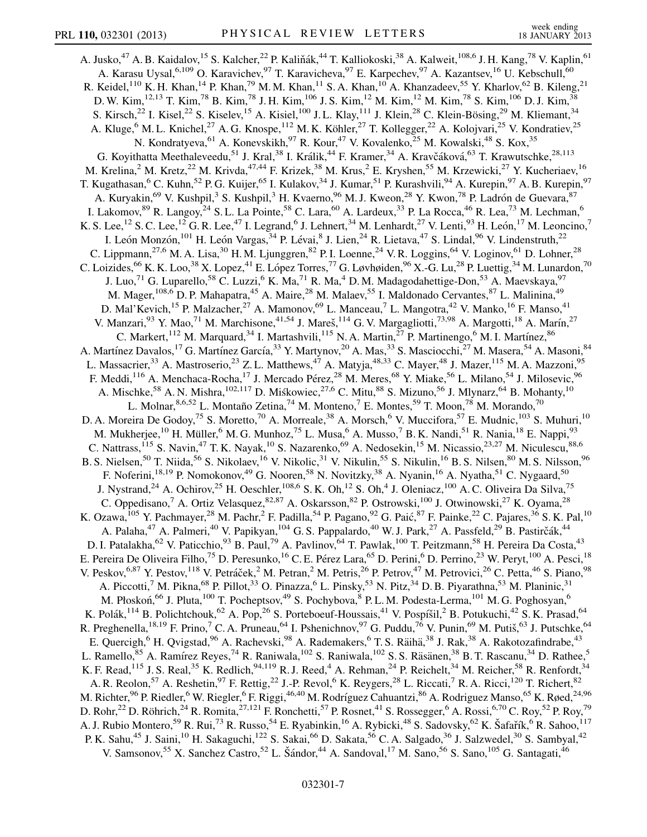A. Jusko,<sup>47</sup> A. B. Kaidalov,<sup>15</sup> S. Kalcher,<sup>22</sup> P. Kaliňák,<sup>44</sup> T. Kalliokoski,<sup>38</sup> A. Kalweit,<sup>108,6</sup> J. H. Kang,<sup>78</sup> V. Kaplin,<sup>61</sup> A. Karasu Uysal,<sup>6,109</sup> O. Karavichev,<sup>97</sup> T. Karavicheva,<sup>97</sup> E. Karpechev,<sup>97</sup> A. Kazantsev,<sup>16</sup> U. Kebschull,<sup>60</sup> R. Keidel,<sup>110</sup> K. H. Khan,<sup>14</sup> P. Khan,<sup>79</sup> M. M. Khan,<sup>11</sup> S. A. Khan,<sup>10</sup> A. Khanzadeev,<sup>55</sup> Y. Kharlov,<sup>62</sup> B. Kileng,<sup>21</sup> D. W. Kim, $^{12,13}$  T. Kim, $^{78}$  B. Kim, $^{78}$  J. H. Kim, $^{106}$  J. S. Kim, $^{12}$  M. Kim, $^{12}$  M. Kim, $^{78}$  S. Kim, $^{106}$  D. J. Kim, $^{38}$ S. Kirsch,<sup>22</sup> I. Kisel,<sup>22</sup> S. Kiselev,<sup>15</sup> A. Kisiel,<sup>100</sup> J. L. Klay,<sup>111</sup> J. Klein,<sup>28</sup> C. Klein-Bösing,<sup>29</sup> M. Kliemant,<sup>34</sup> A. Kluge,<sup>6</sup> M. L. Knichel,<sup>27</sup> A. G. Knospe,<sup>112</sup> M. K. Köhler,<sup>27</sup> T. Kollegger,<sup>22</sup> A. Kolojvari,<sup>25</sup> V. Kondratiev,<sup>25</sup> N. Kondratyeva, <sup>61</sup> A. Konevskikh, <sup>97</sup> R. Kour, <sup>47</sup> V. Kovalenko, <sup>25</sup> M. Kowalski, <sup>48</sup> S. Kox, <sup>35</sup> G. Koyithatta Meethaleveedu,<sup>51</sup> J. Kral,<sup>38</sup> I. Králik,<sup>44</sup> F. Kramer,<sup>34</sup> A. Kravčáková,<sup>63</sup> T. Krawutschke,<sup>28,113</sup> M. Krelina,<sup>2</sup> M. Kretz,<sup>22</sup> M. Krivda,<sup>47,44</sup> F. Krizek,<sup>38</sup> M. Krus,<sup>2</sup> E. Kryshen,<sup>55</sup> M. Krzewicki,<sup>27</sup> Y. Kucheriaev,<sup>16</sup> T. Kugathasan, <sup>6</sup> C. Kuhn, <sup>52</sup> P. G. Kuijer, <sup>65</sup> I. Kulakov, <sup>34</sup> J. Kumar, <sup>51</sup> P. Kurashvili, <sup>94</sup> A. Kurepin, <sup>97</sup> A. B. Kurepin, <sup>97</sup> A. Kuryakin,<sup>69</sup> V. Kushpil,<sup>3</sup> S. Kushpil,<sup>3</sup> H. Kvaerno,<sup>96</sup> M. J. Kweon,<sup>28</sup> Y. Kwon,<sup>78</sup> P. Ladrón de Guevara,<sup>87</sup> I. Lakomov, <sup>89</sup> R. Langoy, <sup>24</sup> S. L. La Pointe, <sup>58</sup> C. Lara, <sup>60</sup> A. Lardeux, <sup>33</sup> P. La Rocca, <sup>46</sup> R. Lea, <sup>73</sup> M. Lechman, <sup>6</sup> K. S. Lee,<sup>12</sup> S. C. Lee,<sup>12</sup> G. R. Lee,<sup>47</sup> I. Legrand,<sup>6</sup> J. Lehnert,<sup>34</sup> M. Lenhardt,<sup>27</sup> V. Lenti,<sup>93</sup> H. León,<sup>17</sup> M. Leoncino,<sup>7</sup> I. León Monzón,<sup>101</sup> H. León Vargas,<sup>34</sup> P. Lévai,<sup>8</sup> J. Lien,<sup>24</sup> R. Lietava,<sup>47</sup> S. Lindal,<sup>96</sup> V. Lindenstruth,<sup>22</sup> C. Lippmann,<sup>27,6</sup> M. A. Lisa,<sup>30</sup> H. M. Ljunggren,<sup>82</sup> P. I. Loenne,<sup>24</sup> V. R. Loggins,<sup>64</sup> V. Loginov,<sup>61</sup> D. Lohner,<sup>28</sup> C. Loizides,<sup>66</sup> K. K. Loo,<sup>38</sup> X. Lopez,<sup>41</sup> E. López Torres,<sup>77</sup> G. Løvhøiden,<sup>96</sup> X.-G. Lu,<sup>28</sup> P. Luettig,<sup>34</sup> M. Lunardon,<sup>70</sup> J. Luo,<sup>71</sup> G. Luparello,<sup>58</sup> C. Luzzi,<sup>6</sup> K. Ma,<sup>71</sup> R. Ma,<sup>4</sup> D. M. Madagodahettige-Don,<sup>53</sup> A. Maevskaya,<sup>97</sup> M. Mager, <sup>108,6</sup> D. P. Mahapatra, <sup>45</sup> A. Maire, <sup>28</sup> M. Malaev, <sup>55</sup> I. Maldonado Cervantes, <sup>87</sup> L. Malinina, <sup>49</sup> D. Mal'Kevich,<sup>15</sup> P. Malzacher,<sup>27</sup> A. Mamonov,<sup>69</sup> L. Manceau,<sup>7</sup> L. Mangotra,<sup>42</sup> V. Manko,<sup>16</sup> F. Manso,<sup>41</sup> V. Manzari,  $93$  Y. Mao,  $71$  M. Marchisone,  $41,54$  J. Mareš,  $114$  G. V. Margagliotti,  $73,98$  A. Margotti,  $18$  A. Marín,  $27$ C. Markert,<sup>112</sup> M. Marquard,<sup>34</sup> I. Martashvili,<sup>115</sup> N. A. Martin,<sup>27</sup> P. Martinengo,<sup>6</sup> M. I. Martínez,<sup>86</sup> A. Martínez Davalos, <sup>17</sup> G. Martínez García, <sup>33</sup> Y. Martynov, <sup>20</sup> A. Mas, <sup>33</sup> S. Masciocchi, <sup>27</sup> M. Masera, <sup>54</sup> A. Masoni, <sup>84</sup> L. Massacrier,<sup>33</sup> A. Mastroserio,<sup>23</sup> Z.L. Matthews,<sup>47</sup> A. Matyja,<sup>48,33</sup> C. Mayer,<sup>48</sup> J. Mazer,<sup>115</sup> M. A. Mazzoni,<sup>95</sup> F. Meddi,  $^{116}$  A. Menchaca-Rocha,  $^{17}$  J. Mercado Pérez,  $^{28}$  M. Meres,  $^{68}$  Y. Miake,  $^{56}$  L. Milano,  $^{54}$  J. Milosevic,  $^{96}$ A. Mischke,<sup>58</sup> A. N. Mishra,<sup>102,117</sup> D. Miśkowiec,<sup>27,6</sup> C. Mitu,<sup>88</sup> S. Mizuno,<sup>56</sup> J. Mlynarz,<sup>64</sup> B. Mohanty,<sup>10</sup> L. Molnar,  $8,6,52$  L. Montaño Zetina,  $7^4$  M. Monteno,  $^7$  E. Montes,  $^{59}$  T. Moon,  $^{78}$  M. Morando,  $^{70}$ D. A. Moreira De Godoy,<sup>75</sup> S. Moretto,<sup>70</sup> A. Morreale,<sup>38</sup> A. Morsch,<sup>6</sup> V. Muccifora,<sup>57</sup> E. Mudnic,<sup>103</sup> S. Muhuri,<sup>10</sup> M. Mukherjee,<sup>10</sup> H. Müller,<sup>6</sup> M. G. Munhoz,<sup>75</sup> L. Musa,<sup>6</sup> A. Musso,<sup>7</sup> B. K. Nandi,<sup>51</sup> R. Nania,<sup>18</sup> E. Nappi,<sup>93</sup> C. Nattrass,<sup>115</sup> S. Navin,<sup>47</sup> T. K. Nayak,<sup>10</sup> S. Nazarenko,<sup>69</sup> A. Nedosekin,<sup>15</sup> M. Nicassio,<sup>23,27</sup> M. Niculescu,<sup>88,6</sup> B. S. Nielsen,<sup>50</sup> T. Niida,<sup>56</sup> S. Nikolaev,<sup>16</sup> V. Nikolic,<sup>31</sup> V. Nikulin,<sup>55</sup> S. Nikulin,<sup>16</sup> B. S. Nilsen,<sup>80</sup> M. S. Nilsson,<sup>96</sup> F. Noferini,<sup>18,19</sup> P. Nomokonov,<sup>49</sup> G. Nooren,<sup>58</sup> N. Novitzky,<sup>38</sup> A. Nyanin,<sup>16</sup> A. Nyatha,<sup>51</sup> C. Nygaard,<sup>50</sup> J. Nystrand,<sup>24</sup> A. Ochirov,<sup>25</sup> H. Oeschler,<sup>108,6</sup> S. K. Oh,<sup>12</sup> S. Oh,<sup>4</sup> J. Oleniacz,<sup>100</sup> A. C. Oliveira Da Silva,<sup>75</sup> C. Oppedisano,<sup>7</sup> A. Ortiz Velasquez, <sup>82,87</sup> A. Oskarsson, <sup>82</sup> P. Ostrowski, <sup>100</sup> J. Otwinowski, <sup>27</sup> K. Oyama, <sup>28</sup> K. Ozawa, <sup>105</sup> Y. Pachmayer,<sup>28</sup> M. Pachr,<sup>2</sup> F. Padilla,<sup>54</sup> P. Pagano,<sup>92</sup> G. Paić,<sup>87</sup> F. Painke,<sup>22</sup> C. Pajares,<sup>36</sup> S. K. Pal,<sup>10</sup> A. Palaha,<sup>47</sup> A. Palmeri,<sup>40</sup> V. Papikyan,<sup>104</sup> G. S. Pappalardo,<sup>40</sup> W. J. Park,<sup>27</sup> A. Passfeld,<sup>29</sup> B. Pastirčák,<sup>44</sup> D. I. Patalakha, <sup>62</sup> V. Paticchio, <sup>93</sup> B. Paul, <sup>79</sup> A. Pavlinov, <sup>64</sup> T. Pawlak, <sup>100</sup> T. Peitzmann, <sup>58</sup> H. Pereira Da Costa, <sup>43</sup> E. Pereira De Oliveira Filho,<sup>75</sup> D. Peresunko,<sup>16</sup> C. E. Pérez Lara,<sup>65</sup> D. Perini,<sup>6</sup> D. Perrino,<sup>23</sup> W. Peryt,<sup>100</sup> A. Pesci,<sup>18</sup> V. Peskov,<sup>6,87</sup> Y. Pestov,<sup>118</sup> V. Petráček,<sup>2</sup> M. Petran,<sup>2</sup> M. Petris,<sup>26</sup> P. Petrov,<sup>47</sup> M. Petrovici,<sup>26</sup> C. Petta,<sup>46</sup> S. Piano,<sup>98</sup> A. Piccotti,<sup>7</sup> M. Pikna,<sup>68</sup> P. Pillot,<sup>33</sup> O. Pinazza,<sup>6</sup> L. Pinsky,<sup>53</sup> N. Pitz,<sup>34</sup> D. B. Piyarathna,<sup>53</sup> M. Planinic,<sup>31</sup> M. Płoskoń,<sup>66</sup> J. Pluta,<sup>100</sup> T. Pocheptsov,<sup>49</sup> S. Pochybova,<sup>8</sup> P. L. M. Podesta-Lerma,<sup>101</sup> M. G. Poghosyan,<sup>6</sup> K. Polák,<sup>114</sup> B. Polichtchouk,<sup>62</sup> A. Pop,<sup>26</sup> S. Porteboeuf-Houssais,<sup>41</sup> V. Pospíšil,<sup>2</sup> B. Potukuchi,<sup>42</sup> S. K. Prasad,<sup>64</sup> R. Preghenella,<sup>18,19</sup> F. Prino,<sup>7</sup> C. A. Pruneau,<sup>64</sup> I. Pshenichnov,<sup>97</sup> G. Puddu,<sup>76</sup> V. Punin,<sup>69</sup> M. Putiš,<sup>63</sup> J. Putschke,<sup>64</sup> E. Quercigh,<sup>6</sup> H. Qvigstad,<sup>96</sup> A. Rachevski,<sup>98</sup> A. Rademakers,<sup>6</sup> T. S. Räihä,<sup>38</sup> J. Rak,<sup>38</sup> A. Rakotozafindrabe,<sup>43</sup> L. Ramello,<sup>85</sup> A. Ramírez Reyes,<sup>74</sup> R. Raniwala,<sup>102</sup> S. Raniwala,<sup>102</sup> S. S. Räsänen,<sup>38</sup> B. T. Rascanu,<sup>34</sup> D. Rathee,<sup>5</sup> K. F. Read,  $^{115}$  J. S. Real,  $^{35}$  K. Redlich,  $^{94,119}$  R. J. Reed,  $^{4}$  A. Rehman,  $^{24}$  P. Reichelt,  $^{34}$  M. Reicher,  $^{58}$  R. Renfordt,  $^{34}$ A. R. Reolon,<sup>57</sup> A. Reshetin,<sup>97</sup> F. Rettig,<sup>22</sup> J.-P. Revol,<sup>6</sup> K. Reygers,<sup>28</sup> L. Riccati,<sup>7</sup> R. A. Ricci,<sup>120</sup> T. Richert,<sup>82</sup> M. Richter,<sup>96</sup> P. Riedler,<sup>6</sup> W. Riegler,<sup>6</sup> F. Riggi,<sup>46,40</sup> M. Rodríguez Cahuantzi,<sup>86</sup> A. Rodriguez Manso,<sup>65</sup> K. Røed,<sup>24,96</sup> D. Rohr,<sup>22</sup> D. Röhrich,<sup>24</sup> R. Romita,<sup>27,121</sup> F. Ronchetti,<sup>57</sup> P. Rosnet,<sup>41</sup> S. Rossegger,<sup>6</sup> A. Rossi,<sup>6,70</sup> C. Roy,<sup>52</sup> P. Roy,<sup>79</sup> A. J. Rubio Montero,<sup>59</sup> R. Rui,<sup>73</sup> R. Russo,<sup>54</sup> E. Ryabinkin,<sup>16</sup> A. Rybicki,<sup>48</sup> S. Sadovsky,<sup>62</sup> K. Šafařík,<sup>6</sup> R. Sahoo,<sup>117</sup> P. K. Sahu,<sup>45</sup> J. Saini,<sup>10</sup> H. Sakaguchi,<sup>122</sup> S. Sakai,<sup>66</sup> D. Sakata,<sup>56</sup> C. A. Salgado,<sup>36</sup> J. Salzwedel,<sup>30</sup> S. Sambyal,<sup>42</sup> V. Samsonov,<sup>55</sup> X. Sanchez Castro,<sup>52</sup> L. Šándor,<sup>44</sup> A. Sandoval,<sup>17</sup> M. Sano,<sup>56</sup> S. Sano,<sup>105</sup> G. Santagati,<sup>46</sup>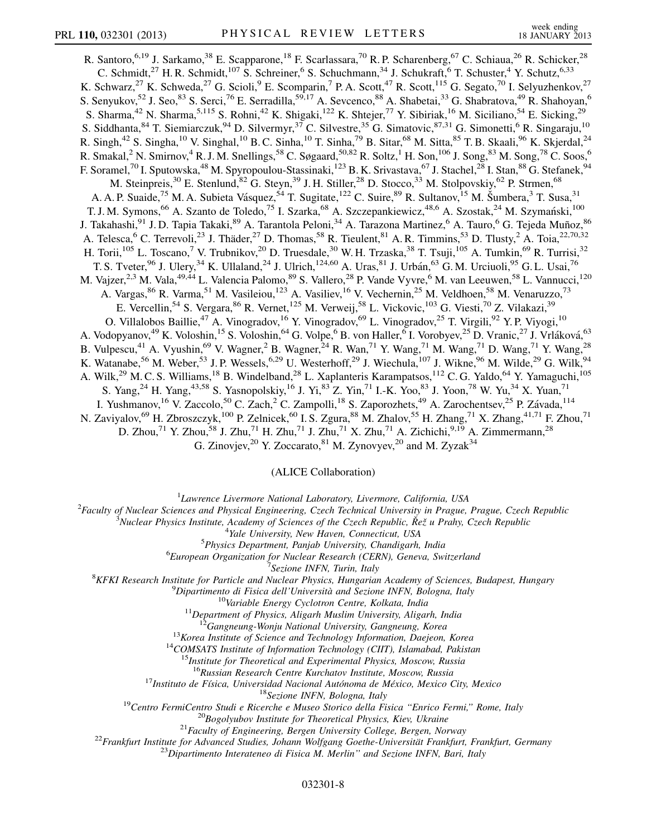R. Santoro,<sup>6,19</sup> J. Sarkamo,<sup>38</sup> E. Scapparone,<sup>18</sup> F. Scarlassara,<sup>70</sup> R. P. Scharenberg,<sup>67</sup> C. Schiaua,<sup>26</sup> R. Schicker,<sup>28</sup> C. Schmidt,<sup>27</sup> H. R. Schmidt,<sup>107</sup> S. Schreiner,<sup>6</sup> S. Schuchmann,<sup>34</sup> J. Schukraft,<sup>6</sup> T. Schuster,<sup>4</sup> Y. Schutz,<sup>6,33</sup> K. Schwarz,<sup>27</sup> K. Schweda,<sup>27</sup> G. Scioli,<sup>9</sup> E. Scomparin,<sup>7</sup> P. A. Scott,<sup>47</sup> R. Scott,<sup>115</sup> G. Segato,<sup>70</sup> I. Selyuzhenkov,<sup>27</sup> S. Senyukov,<sup>52</sup> J. Seo,<sup>83</sup> S. Serci,<sup>76</sup> E. Serradilla,<sup>59,17</sup> A. Sevcenco,<sup>88</sup> A. Shabetai,<sup>33</sup> G. Shabratova,<sup>49</sup> R. Shahoyan,<sup>6</sup> S. Sharma,<sup>42</sup> N. Sharma,<sup>5,115</sup> S. Rohni,<sup>42</sup> K. Shigaki,<sup>122</sup> K. Shtejer,<sup>77</sup> Y. Sibiriak,<sup>16</sup> M. Siciliano,<sup>54</sup> E. Sicking,<sup>29</sup> S. Siddhanta, <sup>84</sup> T. Siemiarczuk, <sup>94</sup> D. Silvermyr,<sup>37</sup> C. Silvestre, <sup>35</sup> G. Simatovic, <sup>87,31</sup> G. Simonetti, <sup>6</sup> R. Singaraju, <sup>10</sup> R. Singh,<sup>42</sup> S. Singha,<sup>10</sup> V. Singhal,<sup>10</sup> B. C. Sinha,<sup>10</sup> T. Sinha,<sup>79</sup> B. Sitar,<sup>68</sup> M. Sitta,<sup>85</sup> T. B. Skaali,<sup>96</sup> K. Skjerdal,<sup>24</sup> R. Smakal,<sup>2</sup> N. Smirnov,<sup>4</sup> R. J. M. Snellings,<sup>58</sup> C. Søgaard,<sup>50,82</sup> R. Soltz,<sup>1</sup> H. Son,<sup>106</sup> J. Song,<sup>83</sup> M. Song,<sup>78</sup> C. Soos,<sup>6</sup> F. Soramel,<sup>70</sup> I. Sputowska,<sup>48</sup> M. Spyropoulou-Stassinaki,<sup>123</sup> B. K. Srivastava,<sup>67</sup> J. Stachel,<sup>28</sup> I. Stan,<sup>88</sup> G. Stefanek,<sup>94</sup> M. Steinpreis,<sup>30</sup> E. Stenlund,<sup>82</sup> G. Steyn,<sup>39</sup> J. H. Stiller,<sup>28</sup> D. Stocco,<sup>33</sup> M. Stolpovskiy,<sup>62</sup> P. Strmen,<sup>68</sup> A. A. P. Suaide,<sup>75</sup> M. A. Subieta Vásquez,<sup>54</sup> T. Sugitate,<sup>122</sup> C. Suire,<sup>89</sup> R. Sultanov,<sup>15</sup> M. Šumbera,<sup>3</sup> T. Susa,<sup>31</sup> T. J. M. Symons,<sup>66</sup> A. Szanto de Toledo,<sup>75</sup> I. Szarka,<sup>68</sup> A. Szczepankiewicz,<sup>48,6</sup> A. Szostak,<sup>24</sup> M. Szymański,<sup>100</sup> J. Takahashi,<sup>91</sup> J.D. Tapia Takaki,<sup>89</sup> A. Tarantola Peloni,<sup>34</sup> A. Tarazona Martinez,<sup>6</sup> A. Tauro,<sup>6</sup> G. Tejeda Muñoz,<sup>86</sup> A. Telesca,<sup>6</sup> C. Terrevoli,<sup>23</sup> J. Thäder,<sup>27</sup> D. Thomas,<sup>58</sup> R. Tieulent,<sup>81</sup> A. R. Timmins,<sup>53</sup> D. Tlusty,<sup>2</sup> A. Toia,<sup>22,70,32</sup> H. Torii,<sup>105</sup> L. Toscano,<sup>7</sup> V. Trubnikov,<sup>20</sup> D. Truesdale,<sup>30</sup> W. H. Trzaska,<sup>38</sup> T. Tsuji,<sup>105</sup> A. Tumkin,<sup>69</sup> R. Turrisi,<sup>32</sup> T. S. Tveter, <sup>96</sup> J. Ulery, <sup>34</sup> K. Ullaland, <sup>24</sup> J. Ulrich, <sup>124,60</sup> A. Uras, <sup>81</sup> J. Urbán, <sup>63</sup> G. M. Urciuoli, <sup>95</sup> G. L. Usai, <sup>76</sup> M. Vajzer,<sup>2,3</sup> M. Vala,<sup>49,44</sup> L. Valencia Palomo,<sup>89</sup> S. Vallero,<sup>28</sup> P. Vande Vyvre,<sup>6</sup> M. van Leeuwen,<sup>58</sup> L. Vannucci,<sup>120</sup> A. Vargas, <sup>86</sup> R. Varma, <sup>51</sup> M. Vasileiou, <sup>123</sup> A. Vasiliev, <sup>16</sup> V. Vechernin, <sup>25</sup> M. Veldhoen, <sup>58</sup> M. Venaruzzo, <sup>73</sup> E. Vercellin,<sup>54</sup> S. Vergara,<sup>86</sup> R. Vernet,<sup>125</sup> M. Verweij,<sup>58</sup> L. Vickovic,<sup>103</sup> G. Viesti,<sup>70</sup> Z. Vilakazi,<sup>39</sup> O. Villalobos Baillie,<sup>47</sup> A. Vinogradov,<sup>16</sup> Y. Vinogradov,<sup>69</sup> L. Vinogradov,<sup>25</sup> T. Virgili,<sup>92</sup> Y.P. Viyogi,<sup>10</sup> A. Vodopyanov,<sup>49</sup> K. Voloshin,<sup>15</sup> S. Voloshin,<sup>64</sup> G. Volpe,<sup>6</sup> B. von Haller,<sup>6</sup> I. Vorobyev,<sup>25</sup> D. Vranic,<sup>27</sup> J. Vrláková,<sup>63</sup> B. Vulpescu,<sup>41</sup> A. Vyushin,<sup>69</sup> V. Wagner,<sup>2</sup> B. Wagner,<sup>24</sup> R. Wan,<sup>71</sup> Y. Wang,<sup>71</sup> M. Wang,<sup>71</sup> D. Wang,<sup>71</sup> Y. Wang,<sup>28</sup> K. Watanabe,<sup>56</sup> M. Weber,<sup>53</sup> J. P. Wessels,<sup>6,29</sup> U. Westerhoff,<sup>29</sup> J. Wiechula,<sup>107</sup> J. Wikne,<sup>96</sup> M. Wilde,<sup>29</sup> G. Wilk,<sup>94</sup> A. Wilk,<sup>29</sup> M. C. S. Williams,<sup>18</sup> B. Windelband,<sup>28</sup> L. Xaplanteris Karampatsos,<sup>112</sup> C. G. Yaldo,<sup>64</sup> Y. Yamaguchi,<sup>105</sup> S. Yang,<sup>24</sup> H. Yang,<sup>43,58</sup> S. Yasnopolskiy,<sup>16</sup> J. Yi,<sup>83</sup> Z. Yin,<sup>71</sup> I.-K. Yoo,<sup>83</sup> J. Yoon,<sup>78</sup> W. Yu,<sup>34</sup> X. Yuan,<sup>71</sup> I. Yushmanov,<sup>16</sup> V. Zaccolo,<sup>50</sup> C. Zach,<sup>2</sup> C. Zampolli,<sup>18</sup> S. Zaporozhets,<sup>49</sup> A. Zarochentsev,<sup>25</sup> P. Závada,<sup>114</sup> N. Zaviyalov,<sup>69</sup> H. Zbroszczyk,<sup>100</sup> P. Zelnicek,<sup>60</sup> I. S. Zgura,<sup>88</sup> M. Zhalov,<sup>55</sup> H. Zhang,<sup>71</sup> X. Zhang,<sup>41,71</sup> F. Zhou,<sup>71</sup> D. Zhou,<sup>71</sup> Y. Zhou,<sup>58</sup> J. Zhu,<sup>71</sup> H. Zhu,<sup>71</sup> J. Zhu,<sup>71</sup> X. Zhu,<sup>71</sup> A. Zichichi,<sup>9,19</sup> A. Zimmermann,<sup>28</sup> G. Zinovjev, $^{20}$  Y. Zoccarato, $^{81}$  M. Zynovyev, $^{20}$  and M. Zyzak $^{34}$ 

(ALICE Collaboration)

<sup>1</sup>Lawrence Livermore National Laboratory, Livermore, California, USA<br><sup>2</sup>Eaculty of Nuclear Sciences and Physical Engineering, Czech Technical University in Prague

 ${}^{2}$ Faculty of Nuclear Sciences and Physical Engineering, Czech Technical University in Prague, Prague, Czech Republic

Nuclear Physics Institute, Academy of Sciences of the Czech Republic,  $\check{R}e\check{z}$  u Prahy, Czech Republic

<sup>4</sup>Yale University, New Haven, Connecticut, USA

 $5$ Physics Department, Panjab University, Chandigarh, India

European Organization for Nuclear Research (CERN), Geneva, Switzerland<br><sup>7</sup>Sezione INEN, Twin, Italy

Sezione INFN, Turin, Italy <sup>/</sup><br><sup>8</sup>KEKI Pesearah Institute for Particle and Nuelear Physics. Hungarian <sup>8</sup>KFKI Research Institute for Particle and Nuclear Physics, Hungarian Academy of Sciences, Budapest, Hungary<br><sup>9</sup>Dipartimento di Fisica dell'Università and Sezione INFN, Bologna, Italy

<sup>10</sup>Variable Energy Cyclotron Centre, Kolkata, India<br><sup>11</sup>Department of Physics, Aligarh Muslim University, Aligarh, India<br><sup>12</sup>Gangneung-Wonju National University, Gangneung, Korea<br><sup>13</sup>Korea Institute of Science and Techno

<sup>16</sup>Russian Research Centre Kurchatov Institute, Moscow, Russia<br><sup>17</sup>Instituto de Física, Universidad Nacional Autónoma de México, Mexico City, Mexico<br><sup>18</sup>Sezione INFN, Bologna, Italy<br><sup>19</sup>Centro FermiCentro Studi e Ricerch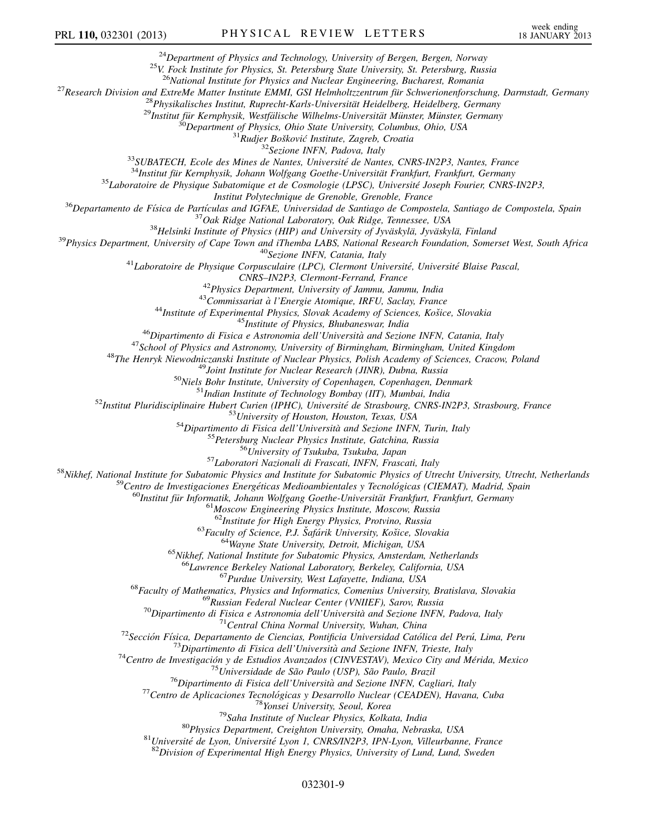<sup>24</sup>Department of Physics and Technology, University of Bergen, Bergen, Norway<br><sup>25</sup>V. Fock Institute for Physics, St. Petersburg State University, St. Petersburg, Russia<br><sup>26</sup>National Institute for Physics and Nuclear Engi

<sup>27</sup>Research Division and ExtreMe Matter Institute EMMI, GSI Helmholtzzentrum für Schwerionenforschung, Darmstadt, Germany<br><sup>28</sup>Physikalisches Institut, Ruprecht-Karls-Universität Heidelberg, Heidelberg, Germany<br><sup>29</sup>Instit

16 Institut Polytechnique de Grenoble, Grenoble, France<br><sup>36</sup>Departamento de Física de Partículas and IGFAE, Universidad de Santiago de Compostela, Santiago de Compostela, Spain<br><sup>37</sup>Oak Ridge National Laboratory, Oak Ridge

CNRS-IN2P3, Clermont-Ferrand, France<br>
<sup>42</sup>Physics Department, University of Jammu, Jammu, India<br>
<sup>43</sup>Commissariat à l'Energie Atomique, IRFU, Saclay, France<br>
<sup>43</sup>Commissariat à l'Energie Atomique, IRFU, Saclay, France<br>
<sup>45</sup>

<sup>62</sup>Institute for High Energy Physics, Protvino, Russia<br><sup>63</sup>Faculty of Science, P.J. Šafárik University, Košice, Slovakia<br><sup>64</sup>Wayne State University, Detroit, Michigan, USA<br><sup>65</sup>Nikhef, National Institute for Subatomic Phy

 $\begin{array}{c} \text{^{66}Lawrene} \end{array} \begin{array}{c} \text{^{66}Lawrene} \end{array} \begin{array}{c} \text{^{66}Uavrence} \end{array} \begin{array}{c} \text{Refouria} \end{array} \begin{array}{c} \text{^{67}Purdue University, West Lafayette, Indian, USA \\ \text{^{68}Faculty of Mathematics, Physics and Information, and, and, USA \\ \text{^{68}Russian Federal Nuclear Center (VNIIEF), Sarrow, Raussian \\ \text{^{69}Russian Federal Nuclear Center (VNIIEF), Sarrow, Russia \\ \text{^{70}Dipartimento} \end{array} \begin{array}{c} \text{^{70}Central China$